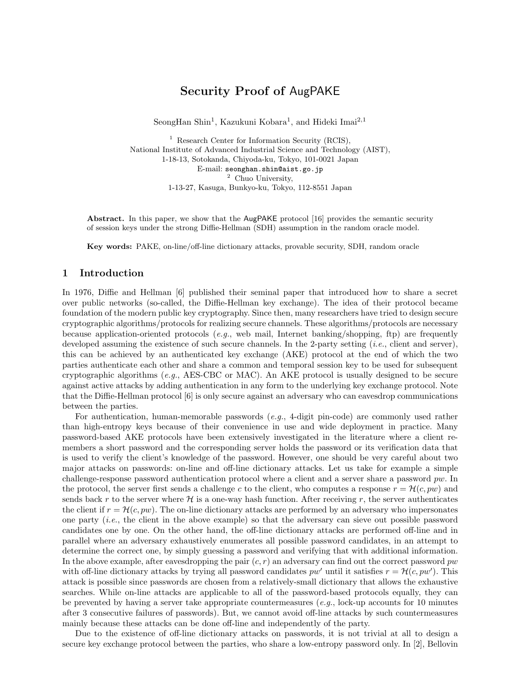# Security Proof of AugPAKE

SeongHan Shin<sup>1</sup>, Kazukuni Kobara<sup>1</sup>, and Hideki Imai<sup>2,1</sup>

<sup>1</sup> Research Center for Information Security (RCIS), National Institute of Advanced Industrial Science and Technology (AIST), 1-18-13, Sotokanda, Chiyoda-ku, Tokyo, 101-0021 Japan E-mail: seonghan.shin@aist.go.jp <sup>2</sup> Chuo University, 1-13-27, Kasuga, Bunkyo-ku, Tokyo, 112-8551 Japan

Abstract. In this paper, we show that the AugPAKE protocol [16] provides the semantic security of session keys under the strong Diffie-Hellman (SDH) assumption in the random oracle model.

Key words: PAKE, on-line/off-line dictionary attacks, provable security, SDH, random oracle

#### 1 Introduction

In 1976, Diffie and Hellman [6] published their seminal paper that introduced how to share a secret over public networks (so-called, the Diffie-Hellman key exchange). The idea of their protocol became foundation of the modern public key cryptography. Since then, many researchers have tried to design secure cryptographic algorithms/protocols for realizing secure channels. These algorithms/protocols are necessary because application-oriented protocols (*e.g.*, web mail, Internet banking/shopping, ftp) are frequently developed assuming the existence of such secure channels. In the 2-party setting *(i.e., client and server)*, this can be achieved by an authenticated key exchange (AKE) protocol at the end of which the two parties authenticate each other and share a common and temporal session key to be used for subsequent cryptographic algorithms (e.g., AES-CBC or MAC). An AKE protocol is usually designed to be secure against active attacks by adding authentication in any form to the underlying key exchange protocol. Note that the Diffie-Hellman protocol [6] is only secure against an adversary who can eavesdrop communications between the parties.

For authentication, human-memorable passwords (e.g., 4-digit pin-code) are commonly used rather than high-entropy keys because of their convenience in use and wide deployment in practice. Many password-based AKE protocols have been extensively investigated in the literature where a client remembers a short password and the corresponding server holds the password or its verification data that is used to verify the client's knowledge of the password. However, one should be very careful about two major attacks on passwords: on-line and off-line dictionary attacks. Let us take for example a simple challenge-response password authentication protocol where a client and a server share a password pw. In the protocol, the server first sends a challenge c to the client, who computes a response  $r = \mathcal{H}(c, pw)$  and sends back r to the server where  $\mathcal H$  is a one-way hash function. After receiving r, the server authenticates the client if  $r = \mathcal{H}(c, pw)$ . The on-line dictionary attacks are performed by an adversary who impersonates one party (*i.e.*, the client in the above example) so that the adversary can sieve out possible password candidates one by one. On the other hand, the off-line dictionary attacks are performed off-line and in parallel where an adversary exhaustively enumerates all possible password candidates, in an attempt to determine the correct one, by simply guessing a password and verifying that with additional information. In the above example, after eavesdropping the pair  $(c, r)$  an adversary can find out the correct password pw with off-line dictionary attacks by trying all password candidates  $pw'$  until it satisfies  $r = \mathcal{H}(c, pw')$ . This attack is possible since passwords are chosen from a relatively-small dictionary that allows the exhaustive searches. While on-line attacks are applicable to all of the password-based protocols equally, they can be prevented by having a server take appropriate countermeasures (e.g., lock-up accounts for 10 minutes after 3 consecutive failures of passwords). But, we cannot avoid off-line attacks by such countermeasures mainly because these attacks can be done off-line and independently of the party.

Due to the existence of off-line dictionary attacks on passwords, it is not trivial at all to design a secure key exchange protocol between the parties, who share a low-entropy password only. In [2], Bellovin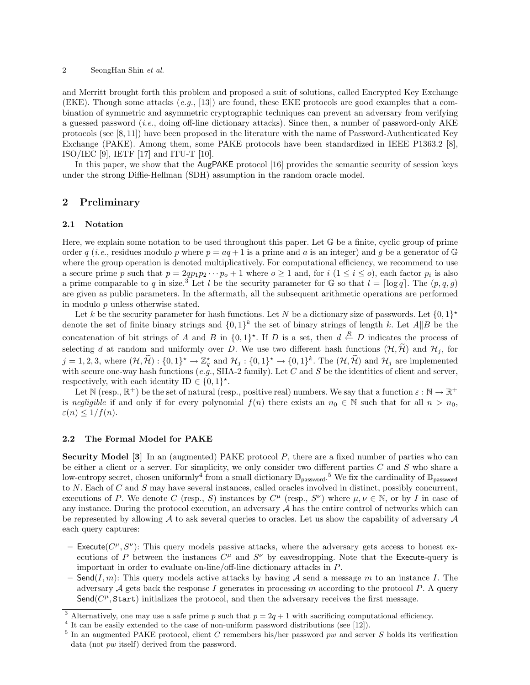#### 2 SeongHan Shin et al.

and Merritt brought forth this problem and proposed a suit of solutions, called Encrypted Key Exchange (EKE). Though some attacks  $(e,q, 13)$  are found, these EKE protocols are good examples that a combination of symmetric and asymmetric cryptographic techniques can prevent an adversary from verifying a guessed password *(i.e., doing off-line dictionary attacks)*. Since then, a number of password-only  $AKE$ protocols (see [8, 11]) have been proposed in the literature with the name of Password-Authenticated Key Exchange (PAKE). Among them, some PAKE protocols have been standardized in IEEE P1363.2 [8], ISO/IEC [9], IETF [17] and ITU-T [10].

In this paper, we show that the AugPAKE protocol [16] provides the semantic security of session keys under the strong Diffie-Hellman (SDH) assumption in the random oracle model.

## 2 Preliminary

#### 2.1 Notation

Here, we explain some notation to be used throughout this paper. Let  $\mathbb G$  be a finite, cyclic group of prime order q (*i.e.*, residues modulo p where  $p = aq + 1$  is a prime and a is an integer) and q be a generator of  $\mathbb{G}$ where the group operation is denoted multiplicatively. For computational efficiency, we recommend to use a secure prime p such that  $p = 2qp_1p_2\cdots p_o + 1$  where  $o \ge 1$  and, for  $i (1 \le i \le o)$ , each factor  $p_i$  is also a prime comparable to q in size.<sup>3</sup> Let l be the security parameter for G so that  $l = \lceil \log q \rceil$ . The  $(p, q, g)$ are given as public parameters. In the aftermath, all the subsequent arithmetic operations are performed in modulo p unless otherwise stated.

Let k be the security parameter for hash functions. Let N be a dictionary size of passwords. Let  $\{0,1\}^*$ denote the set of finite binary strings and  $\{0,1\}^k$  the set of binary strings of length k. Let  $A||B$  be the concatenation of bit strings of A and B in  $\{0,1\}^*$ . If D is a set, then  $d \stackrel{R}{\leftarrow} D$  indicates the process of selecting d at random and uniformly over D. We use two different hash functions  $(\mathcal{H}, \widetilde{\mathcal{H}})$  and  $\mathcal{H}_j$ , for  $j = 1, 2, 3$ , where  $(\mathcal{H}, \widetilde{\mathcal{H}}) : \{0, 1\}^{\star} \to \mathbb{Z}_q^{\star}$  and  $\mathcal{H}_j : \{0, 1\}^{\star} \to \{0, 1\}^k$ . The  $(\mathcal{H}, \widetilde{\mathcal{H}})$  and  $\mathcal{H}_j$  are implemented with secure one-way hash functions (e.g., SHA-2 family). Let C and S be the identities of client and server, respectively, with each identity ID  $\in \{0,1\}^*$ .

Let  $\mathbb N$  (resp.,  $\mathbb R^+$ ) be the set of natural (resp., positive real) numbers. We say that a function  $\varepsilon : \mathbb N \to \mathbb R^+$ is negligible if and only if for every polynomial  $f(n)$  there exists an  $n_0 \in \mathbb{N}$  such that for all  $n > n_0$ ,  $\varepsilon(n) \leq 1/f(n).$ 

#### 2.2 The Formal Model for PAKE

Security Model  $[3]$  In an (augmented) PAKE protocol  $P$ , there are a fixed number of parties who can be either a client or a server. For simplicity, we only consider two different parties  $C$  and  $S$  who share a low-entropy secret, chosen uniformly<sup>4</sup> from a small dictionary  $\mathbb{D}_{\text{password}}$ .<sup>5</sup> We fix the cardinality of  $\mathbb{D}_{\text{password}}$ to  $N$ . Each of  $C$  and  $S$  may have several instances, called oracles involved in distinct, possibly concurrent, executions of P. We denote C (resp., S) instances by  $C^{\mu}$  (resp.,  $S^{\nu}$ ) where  $\mu, \nu \in \mathbb{N}$ , or by I in case of any instance. During the protocol execution, an adversary  $A$  has the entire control of networks which can be represented by allowing  $A$  to ask several queries to oracles. Let us show the capability of adversary  $A$ each query captures:

- Execute( $C^{\mu}, S^{\nu}$ ): This query models passive attacks, where the adversary gets access to honest executions of P between the instances  $C^{\mu}$  and  $S^{\nu}$  by eavesdropping. Note that the Execute-query is important in order to evaluate on-line/off-line dictionary attacks in P.
- Send(I, m): This query models active attacks by having A send a message m to an instance I. The adversary  $A$  gets back the response I generates in processing m according to the protocol P. A query Send( $C^{\mu}$ , Start) initializes the protocol, and then the adversary receives the first message.

<sup>&</sup>lt;sup>3</sup> Alternatively, one may use a safe prime p such that  $p = 2q + 1$  with sacrificing computational efficiency.

<sup>&</sup>lt;sup>4</sup> It can be easily extended to the case of non-uniform password distributions (see [12]).

<sup>&</sup>lt;sup>5</sup> In an augmented PAKE protocol, client C remembers his/her password pw and server S holds its verification data (not pw itself) derived from the password.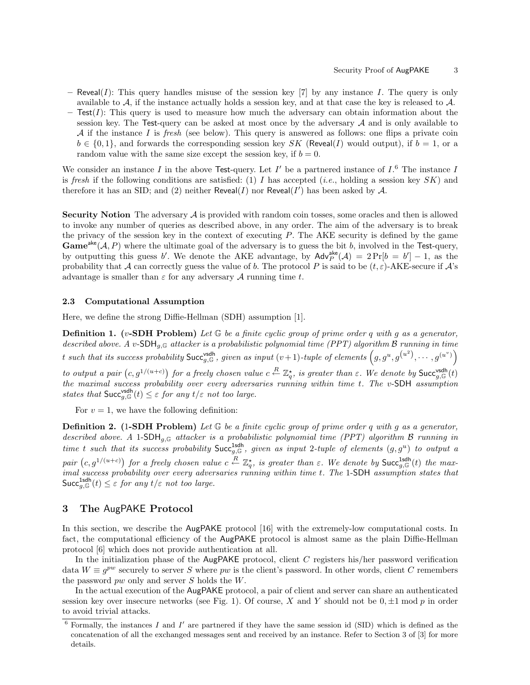- Reveal(I): This query handles misuse of the session key [7] by any instance I. The query is only available to A, if the instance actually holds a session key, and at that case the key is released to A.
- $-$  Test(I): This query is used to measure how much the adversary can obtain information about the session key. The Test-query can be asked at most once by the adversary  $A$  and is only available to A if the instance I is fresh (see below). This query is answered as follows: one flips a private coin  $b \in \{0,1\}$ , and forwards the corresponding session key SK (Reveal(I) would output), if  $b = 1$ , or a random value with the same size except the session key, if  $b = 0$ .

We consider an instance I in the above Test-query. Let  $I'$  be a partnered instance of  $I<sup>6</sup>$  The instance I is fresh if the following conditions are satisfied: (1) I has accepted (*i.e.*, holding a session key  $SK$ ) and therefore it has an SID; and (2) neither Reveal(*I*) nor Reveal(*I'*) has been asked by A.

**Security Notion** The adversary  $A$  is provided with random coin tosses, some oracles and then is allowed to invoke any number of queries as described above, in any order. The aim of the adversary is to break the privacy of the session key in the context of executing P. The AKE security is defined by the game **Game**<sup>ake</sup>(*A, P*) where the ultimate goal of the adversary is to guess the bit b, involved in the Test-query, by outputting this guess b'. We denote the AKE advantage, by  $\mathsf{Adv}_{P}^{\mathsf{ake}}(\mathcal{A}) = 2 \Pr[b = b'] - 1$ , as the probability that A can correctly guess the value of b. The protocol P is said to be  $(t, \varepsilon)$ -AKE-secure if A's advantage is smaller than  $\varepsilon$  for any adversary A running time t.

#### 2.3 Computational Assumption

Here, we define the strong Diffie-Hellman (SDH) assumption [1].

**Definition 1.** (v-SDH Problem) Let  $\mathbb{G}$  be a finite cyclic group of prime order q with g as a generator, described above. A v-SDH<sub>a,G</sub> attacker is a probabilistic polynomial time (PPT) algorithm B running in time t such that its success probability  $\mathsf{Succ}^{\mathsf{ssdh}}_{g,\mathbb{G}},$  given as input  $(v+1)$ -tuple of elements  $\left(g, g^u, g^{\left(u^2\right)}, \cdots, g^{\left(u^v\right)}\right)$ 

to output a pair  $(c, g^{1/(u+c)})$  for a freely chosen value  $c \stackrel{R}{\leftarrow} \mathbb{Z}_q^{\star}$ , is greater than  $\varepsilon$ . We denote by Succ $_{g, \mathbb{G}}^{\text{ssdh}}(t)$ the maximal success probability over every adversaries running within time t. The v-SDH assumption states that  $\mathsf{Succ}_{g,\mathbb{G}}^{\mathsf{vsdh}}(t) \leq \varepsilon$  for any  $t/\varepsilon$  not too large.

For  $v = 1$ , we have the following definition:

**Definition 2.** (1-SDH Problem) Let  $\mathbb{G}$  be a finite cyclic group of prime order q with q as a generator, described above. A 1-SDH<sub>g,G</sub> attacker is a probabilistic polynomial time (PPT) algorithm B running in time t such that its success probability  $Succ_{g,\mathbb{G}}^{\text{1sdh}}$ , given as input 2-tuple of elements  $(g,g^u)$  to output a pair  $(c, g^{1/(u+c)})$  for a freely chosen value  $c \stackrel{R}{\leftarrow} \mathbb{Z}_q^{\star}$ , is greater than  $\varepsilon$ . We denote by  $\mathsf{Succ}_{g,\mathbb{G}}^{\mathsf{1}\mathsf{sdh}}(t)$  the maximal success probability over every adversaries running within time t. The 1-SDH assumption states that  $\mathsf{Succ}_{g,\mathbb{G}}^{\mathsf{1} \mathsf{sdh}}(t) \leq \varepsilon$  for any  $t/\varepsilon$  not too large.

# 3 The AugPAKE Protocol

In this section, we describe the AugPAKE protocol [16] with the extremely-low computational costs. In fact, the computational efficiency of the AugPAKE protocol is almost same as the plain Diffie-Hellman protocol [6] which does not provide authentication at all.

In the initialization phase of the AugPAKE protocol, client C registers his/her password verification data  $W \equiv g^{pw}$  securely to server S where pw is the client's password. In other words, client C remembers the password pw only and server S holds the W.

In the actual execution of the AugPAKE protocol, a pair of client and server can share an authenticated session key over insecure networks (see Fig. 1). Of course, X and Y should not be  $0, \pm 1 \mod p$  in order to avoid trivial attacks.

 $6$  Formally, the instances I and I' are partnered if they have the same session id (SID) which is defined as the concatenation of all the exchanged messages sent and received by an instance. Refer to Section 3 of [3] for more details.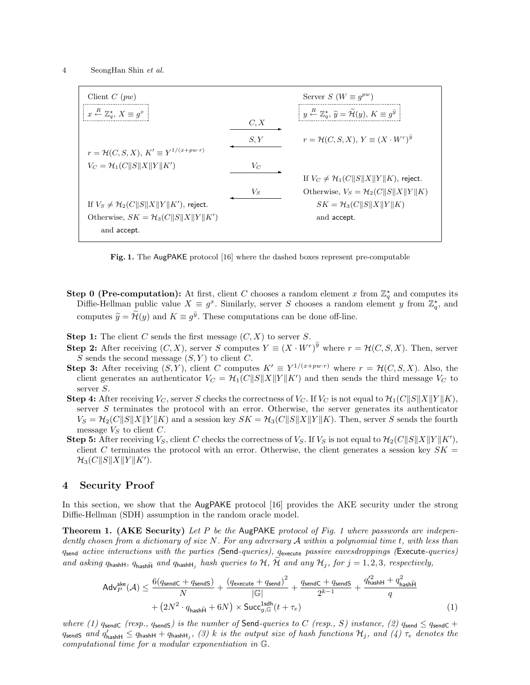| Client $C(pw)$                                                  |       | Server $S(W \equiv q^{pw})$                                                                                                   |
|-----------------------------------------------------------------|-------|-------------------------------------------------------------------------------------------------------------------------------|
| $x \stackrel{R}{\leftarrow} \mathbb{Z}_q^{\star}, X \equiv g^x$ | C, X  | $y \stackrel{R}{\leftarrow} \mathbb{Z}_q^{\star}, \ \widetilde{y} = \widetilde{\mathcal{H}}(y), \ K \equiv g^{\widetilde{y}}$ |
|                                                                 |       |                                                                                                                               |
| $r = \mathcal{H}(C, S, X), K' \equiv Y^{1/(x + pw \cdot r)}$    | S, Y  | $r = \mathcal{H}(C, S, X), Y \equiv (X \cdot W^r)^y$                                                                          |
| $V_C = \mathcal{H}_1(C  S  X  Y  K')$                           | $V_C$ |                                                                                                                               |
|                                                                 |       | If $V_C \neq H_1(C  S  X  Y  K)$ , reject.                                                                                    |
|                                                                 | $V_S$ | Otherwise, $V_S = \mathcal{H}_2(C  S  X  Y  K)$                                                                               |
| If $V_S \neq H_2(C  S  X  Y  K')$ , reject.                     |       | $SK = \mathcal{H}_3(C  S  X  Y  K)$                                                                                           |
| Otherwise, $SK = H_3(C  S  X  Y  K')$                           |       | and accept.                                                                                                                   |
| and accept.                                                     |       |                                                                                                                               |

Fig. 1. The AugPAKE protocol [16] where the dashed boxes represent pre-computable

- **Step 0 (Pre-computation):** At first, client C chooses a random element x from  $\mathbb{Z}_q^*$  and computes its Diffie-Hellman public value  $X \equiv g^x$ . Similarly, server S chooses a random element y from  $\mathbb{Z}_q^*$ , and computes  $\widetilde{y} = \widetilde{\mathcal{H}}(y)$  and  $K \equiv g^{\widetilde{y}}$ . These computations can be done off-line.
- **Step 1:** The client C sends the first message  $(C, X)$  to server S.
- **Step 2:** After receiving  $(C, X)$ , server S computes  $Y \equiv (X \cdot W^r)^{\widetilde{y}}$  where  $r = \mathcal{H}(C, S, X)$ . Then, server S sends the second message  $(S, Y)$  to client C.
- **Step 3:** After receiving  $(S, Y)$ , client C computes  $K' \equiv Y^{1/(x+pw\cdot r)}$  where  $r = \mathcal{H}(C, S, X)$ . Also, the client generates an authenticator  $V_C = \mathcal{H}_1(C||S||X||Y||K')$  and then sends the third message  $V_C$  to server S.
- **Step 4:** After receiving  $V_C$ , server S checks the correctness of  $V_C$ . If  $V_C$  is not equal to  $\mathcal{H}_1(C||S||X||Y||K)$ , server  $S$  terminates the protocol with an error. Otherwise, the server generates its authenticator  $V_S = \mathcal{H}_2(C||S||X||Y||K)$  and a session key  $SK = \mathcal{H}_3(C||S||X||Y||K)$ . Then, server S sends the fourth message  $V<sub>S</sub>$  to client C.
- Step 5: After receiving  $V_S$ , client C checks the correctness of  $V_S$ . If  $V_S$  is not equal to  $\mathcal{H}_2(C||S||X||Y||K')$ , client C terminates the protocol with an error. Otherwise, the client generates a session key  $SK =$  $\mathcal{H}_3(C||S||X||Y||K').$

## 4 Security Proof

In this section, we show that the AugPAKE protocol [16] provides the AKE security under the strong Diffie-Hellman (SDH) assumption in the random oracle model.

**Theorem 1. (AKE Security)** Let P be the AugPAKE protocol of Fig. 1 where passwords are independently chosen from a dictionary of size  $N$ . For any adversary  $A$  within a polynomial time t, with less than qsend active interactions with the parties (Send-queries), qexecute passive eavesdroppings (Execute-queries) and asking  $q_{\text{hashH}}$ ,  $q_{\text{hashH}}$  and  $q_{\text{hashH}_j}$  hash queries to  $H$ ,  $H$  and any  $H_j$ , for  $j = 1, 2, 3$ , respectively,

$$
\begin{aligned} \mathsf{Adv}_{P}^{\mathsf{ake}}(\mathcal{A}) &\leq \frac{6(q_{\mathsf{sendC}}+q_{\mathsf{sendS}})}{N}+\frac{\left(q_{\mathsf{execute}}+q_{\mathsf{send}}\right)^{2}}{|\mathbb{G}|}+\frac{q_{\mathsf{sendC}}+q_{\mathsf{sendS}}}{2^{k-1}}+\frac{q_{\mathsf{hashH}}^{2}+q_{\mathsf{hashH}}^{2}}{q} \\ &+ \left(2N^{2}\cdot q_{\mathsf{hashH}}+6N\right)\times \mathsf{Succ}_{g,\mathbb{G}}^{\mathsf{1}\mathsf{schl}}(t+\tau_{e}) \end{aligned} \tag{1}
$$

where (1)  $q_{\text{sendC}}$  (resp.,  $q_{\text{sendS}}$ ) is the number of Send-queries to C (resp., S) instance, (2)  $q_{\text{sendC}} \leq q_{\text{sendC}} +$  $q$ sendS and  $q'_{\sf hashH} \leq q$ hashH  $+$   $q$ hashH $_j,~(3)$   $k$  is the output size of hash functions  $\mathcal{H}_j,~and~(\nmid)$   $\tau_e$  denotes the computational time for a modular exponentiation in G.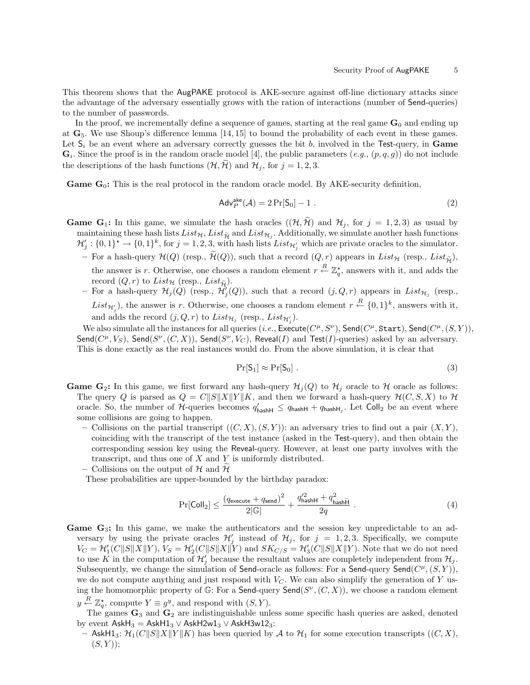This theorem shows that the AugPAKE protocol is AKE-secure against off-line dictionary attacks since the advantage of the adversary essentially grows with the ration of interactions (number of Send-queries) to the number of passwords.

In the proof, we incrementally define a sequence of games, starting at the real game  $G_0$  and ending up at  $\mathbf{G}_5$ . We use Shoup's difference lemma [14, 15] to bound the probability of each event in these games. Let  $S_i$  be an event where an adversary correctly guesses the bit b, involved in the Test-query, in Game  $\mathbf{G}_i$ . Since the proof is in the random oracle model [4], the public parameters  $(e.g., (p,q,g))$  do not include the descriptions of the hash functions  $(\mathcal{H}, \tilde{\mathcal{H}})$  and  $\mathcal{H}_j$ , for  $j = 1, 2, 3$ .

**Game**  $G_0$ **:** This is the real protocol in the random oracle model. By AKE-security definition,

$$
\mathsf{Adv}_{P}^{\mathsf{ake}}(\mathcal{A}) = 2\Pr[S_0] - 1 . \tag{2}
$$

- **Game G<sub>1</sub>:** In this game, we simulate the hash oracles  $((\mathcal{H}, \tilde{\mathcal{H}})$  and  $\mathcal{H}_j$ , for  $j = 1, 2, 3$ ) as usual by maintaining these hash lists  $List_{\mathcal{H}}$ ,  $List_{\mathcal{H}}$  and  $List_{\mathcal{H}}$ . Additionally, we simulate another hash functions  $2\ell'$ ,  $(0,1)$  for  $(0,1)$  for  $i=1,2,3$ , with hash lists  $List_{\mathcal{H}}$  which are print a smaller to the s  $\mathcal{H}'_j: \{0,1\}^* \to \{0,1\}^k$ , for  $j=1,2,3$ , with hash lists  $List_{\mathcal{H}'_j}$  which are private oracles to the simulator.
	- For a hash-query  $\mathcal{H}(Q)$  (resp.,  $\widetilde{\mathcal{H}}(Q)$ ), such that a record  $(Q, r)$  appears in  $List_{\mathcal{H}}$  (resp.,  $List_{\widetilde{\mathcal{H}}})$ , the answer is r. Otherwise, one chooses a random element  $r \stackrel{R}{\leftarrow} \mathbb{Z}_q^{\star}$ , answers with it, and adds the record  $(Q, r)$  to  $List_{\mathcal{H}}$  (resp.,  $List_{\widetilde{\mathcal{H}}}$ ).
	- For a hash-query  $\mathcal{H}_j(Q)$  (resp.,  $\hat{\mathcal{H}}'_j(Q)$ ), such that a record  $(j, Q, r)$  appears in  $List_{\mathcal{H}_j}$  (resp.,  $List_{\mathcal{H}'_j}$ , the answer is r. Otherwise, one chooses a random element  $r \stackrel{R}{\leftarrow} \{0,1\}^k$ , answers with it, and adds the record  $(j, Q, r)$  to  $List_{\mathcal{H}_j}$  (resp.,  $List_{\mathcal{H}'_j}$ ).

We also simulate all the instances for all queries (*i.e.*, Execute( $C^{\mu}, S^{\nu}$ ), Send( $C^{\mu}$ , Start), Send( $C^{\mu}$ ,  $(S, Y)$ ), Send $(C^{\mu}, V_S)$ , Send $(S^{\nu}, (C, X))$ , Send $(S^{\nu}, V_C)$ , Reveal(I) and Test(I)-queries) asked by an adversary. This is done exactly as the real instances would do. From the above simulation, it is clear that

$$
\Pr[S_1] \approx \Pr[S_0] \ . \tag{3}
$$

- **Game G**<sub>2</sub>: In this game, we first forward any hash-query  $\mathcal{H}_j(Q)$  to  $\mathcal{H}_j$  oracle to H oracle as follows: The query Q is parsed as  $Q = C||S||X||Y||K$ , and then we forward a hash-query  $\mathcal{H}(C, S, X)$  to  $\mathcal{H}$ oracle. So, the number of  $H$ -queries becomes  $q'_{\sf hashH} \leq q_{\sf hashH} + q_{\sf hashH_j}$ . Let Coll<sub>2</sub> be an event where some collisions are going to happen.
	- Collisions on the partial transcript  $((C, X), (S, Y))$ : an adversary tries to find out a pair  $(X, Y)$ , coinciding with the transcript of the test instance (asked in the Test-query), and then obtain the corresponding session key using the Reveal-query. However, at least one party involves with the transcript, and thus one of  $X$  and  $Y$  is uniformly distributed.
	- Collisions on the output of H and H

These probabilities are upper-bounded by the birthday paradox:

$$
\Pr[\text{Coll}_2] \le \frac{(q_{\text{execute}} + q_{\text{send}})^2}{2|\mathbb{G}|} + \frac{q_{\text{hashH}}'^2 + q_{\text{hashH}}^2}{2q} \tag{4}
$$

- **Game**  $G_3$ **:** In this game, we make the authenticators and the session key unpredictable to an adversary by using the private oracles  $\mathcal{H}'_j$  instead of  $\mathcal{H}_j$ , for  $j = 1, 2, 3$ . Specifically, we compute  $V_C = \mathcal{H}'_1(C\|S\|X\|Y), V_S = \mathcal{H}'_2(C\|S\|X\|Y)$  and  $SK_{C/S} = \mathcal{H}'_3(C\|S\|X\|Y)$ . Note that we do not need to use K in the computation of  $\mathcal{H}'_j$  because the resultant values are completely independent from  $\mathcal{H}_j$ . Subsequently, we change the simulation of Send-oracle as follows: For a Send-query Send $(C^{\mu},(S,Y)),$ we do not compute anything and just respond with  $V_C$ . We can also simplify the generation of Y using the homomorphic property of  $\mathbb{G}$ : For a Send-query Send $(S^{\nu}, (C, X))$ , we choose a random element  $y \stackrel{R}{\leftarrow} \mathbb{Z}_q^{\star}$ , compute  $Y \equiv g^y$ , and respond with  $(S, Y)$ .
	- The games  $\mathbf{G}_3$  and  $\mathbf{G}_2$  are indistinguishable unless some specific hash queries are asked, denoted by event  $AskH_3 = AskH_3 \vee AskH2w1_3 \vee AskH3w12_3$ :
		- AskH1<sub>3</sub>:  $\mathcal{H}_1(C||S||X||Y||K)$  has been queried by A to  $\mathcal{H}_1$  for some execution transcripts  $((C, X),$  $(S, Y)$ :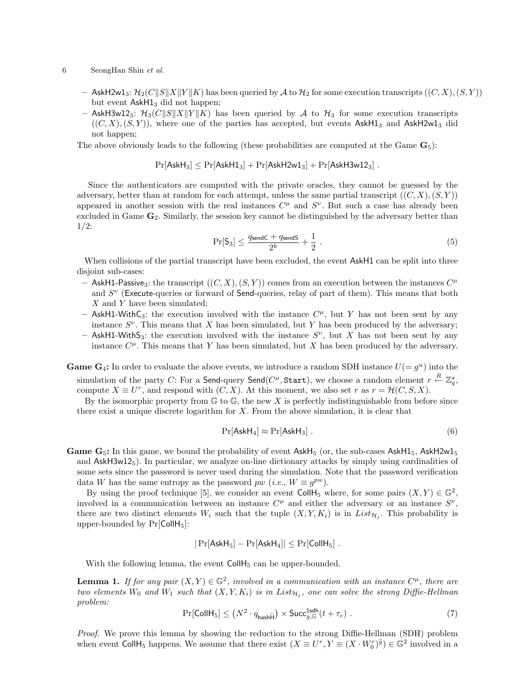#### 6 SeongHan Shin et al.

- AskH2w1<sub>3</sub>:  $\mathcal{H}_2(C||S||X||Y||K)$  has been queried by A to  $\mathcal{H}_2$  for some execution transcripts  $((C, X), (S, Y))$ but event  $AskH1<sub>3</sub>$  did not happen;
- AskH3w12<sub>3</sub>:  $\mathcal{H}_3(C||S||X||Y||K)$  has been queried by A to  $\mathcal{H}_3$  for some execution transcripts  $((C, X), (S, Y))$ , where one of the parties has accepted, but events AskH1<sub>3</sub> and AskH2w1<sub>3</sub> did not happen;

The above obviously leads to the following (these probabilities are computed at the Game  $\mathbf{G}_5$ ):

$$
Pr[AskH_3] \leq Pr[AskH1_3] + Pr[AskH2w1_3] + Pr[AskH3w12_3] .
$$

Since the authenticators are computed with the private oracles, they cannot be guessed by the adversary, better than at random for each attempt, unless the same partial transcript  $((C, X), (S, Y))$ appeared in another session with the real instances  $C^{\mu}$  and  $S^{\nu}$ . But such a case has already been excluded in Game  $\mathbf{G}_2$ . Similarly, the session key cannot be distinguished by the adversary better than 1/2:

$$
\Pr[S_3] \le \frac{q_{\sf sendC} + q_{\sf sendS}}{2^k} + \frac{1}{2} \,. \tag{5}
$$

When collisions of the partial transcript have been excluded, the event AskH1 can be split into three disjoint sub-cases:

- AskH1-Passive<sub>3</sub>: the transcript  $((C, X), (S, Y))$  comes from an execution between the instances  $C^{\mu}$ and  $S^{\nu}$  (Execute-queries or forward of Send-queries, relay of part of them). This means that both X and Y have been simulated;
- AskH1-WithC<sub>3</sub>: the execution involved with the instance  $C^{\mu}$ , but Y has not been sent by any instance  $S^{\nu}$ . This means that X has been simulated, but Y has been produced by the adversary;
- AskH1-WithS<sub>3</sub>: the execution involved with the instance  $S^{\nu}$ , but X has not been sent by any instance  $C^{\mu}$ . This means that Y has been simulated, but X has been produced by the adversary.
- **Game G<sub>4</sub>:** In order to evaluate the above events, we introduce a random SDH instance  $U(= g<sup>u</sup>)$  into the simulation of the party  $C$ : For a Send-query Send $(C^{\mu}, \mathtt{Start}),$  we choose a random element  $r \stackrel{R}{\leftarrow} \mathbb{Z}^{\star}_q,$ compute  $X \equiv U^r$ , and respond with  $(C, X)$ . At this moment, we also set r as  $r = \mathcal{H}(C, S, X)$ .

By the isomorphic property from  $\mathbb{G}$  to  $\mathbb{G}$ , the new X is perfectly indistinguishable from before since there exist a unique discrete logarithm for  $X$ . From the above simulation, it is clear that

$$
\Pr[\mathsf{AskH}_4] \approx \Pr[\mathsf{AskH}_3] \ . \tag{6}
$$

**Game G<sub>5</sub>:** In this game, we bound the probability of event AskH<sub>5</sub> (or, the sub-cases AskH<sub>15</sub>, AskH2w1<sub>5</sub> and  $AskH3w12<sub>5</sub>$ ). In particular, we analyze on-line dictionary attacks by simply using cardinalities of some sets since the password is never used during the simulation. Note that the password verification data W has the same entropy as the password  $pw$  (*i.e.*,  $W \equiv g^{pw}$ ).

By using the proof technique [5], we consider an event CollH<sub>5</sub> where, for some pairs  $(X, Y) \in \mathbb{G}^2$ , involved in a communication between an instance  $C^{\mu}$  and either the adversary or an instance  $S^{\nu}$ , there are two distinct elements  $W_i$  such that the tuple  $(X, Y, K_i)$  is in  $List_{\mathcal{H}_j}$ . This probability is upper-bounded by  $Pr[CollH_5]$ :

$$
|\Pr[\mathsf{AskH}_5] - \Pr[\mathsf{AskH}_4]| \leq \Pr[\mathsf{CollH}_5].
$$

With the following lemma, the event  $CollH<sub>5</sub>$  can be upper-bounded.

**Lemma 1.** If for any pair  $(X, Y) \in \mathbb{G}^2$ , involved in a communication with an instance  $C^{\mu}$ , there are two elements  $W_0$  and  $W_1$  such that  $(X, Y, K_i)$  is in  $List_{\mathcal{H}_j}$ , one can solve the strong Diffie-Hellman problem:

$$
\Pr[\text{CollH}_5] \le (N^2 \cdot q_{\text{hash}\widetilde{H}}) \times \text{Succ}_{g,\mathbb{G}}^{\text{1sdh}}(t + \tau_e) \tag{7}
$$

Proof. We prove this lemma by showing the reduction to the strong Diffie-Hellman (SDH) problem when event CollH<sub>5</sub> happens. We assume that there exist  $(X \equiv U^r, Y \equiv (X \cdot W_0^r)^{\tilde{y}}) \in \mathbb{G}^2$  involved in a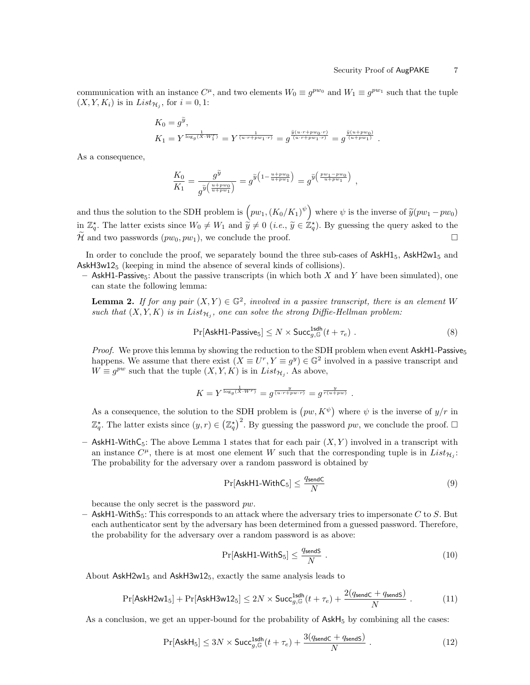communication with an instance  $C^{\mu}$ , and two elements  $W_0 \equiv g^{pw_0}$  and  $W_1 \equiv g^{pw_1}$  such that the tuple  $(X, Y, K_i)$  is in  $List_{\mathcal{H}_j}$ , for  $i = 0, 1$ :

$$
K_0 = g^{\widetilde{y}},
$$
  
\n
$$
K_1 = Y^{\frac{1}{\log_g(X \cdot W_1^r)}} = Y^{\frac{1}{(u \cdot r + pw_1 \cdot r)}} = g^{\frac{\widetilde{y}(u \cdot r + pw_0 \cdot r)}{(u \cdot r + pw_1 \cdot r)}} = g^{\frac{\widetilde{y}(u + pw_0)}{(u + pw_1)}}.
$$

As a consequence,

$$
\frac{K_0}{K_1} = \frac{g^{\widetilde{y}}}{g^{\widetilde{y}}\left(\frac{u+pw_0}{u+pw_1}\right)} = g^{\widetilde{y}\left(1 - \frac{u+pw_0}{u+pw_1}\right)} = g^{\widetilde{y}\left(\frac{pw_1-pw_0}{u+pw_1}\right)} ,
$$

and thus the solution to the SDH problem is  $(pw_1, (K_0/K_1)^{\psi})$  where  $\psi$  is the inverse of  $\tilde{y}(pw_1 - pw_0)$ in  $\mathbb{Z}_q^*$ . The latter exists since  $W_0 \neq W_1$  and  $\hat{y} \neq 0$  (*i.e.*,  $\tilde{y} \in \mathbb{Z}_q^*$ ). By guessing the query asked to the  $\mathcal{\hat{H}}$  and two passwords  $(pw_0, pw_1)$ , we conclude the proof.

In order to conclude the proof, we separately bound the three sub-cases of  $\text{AskH1}_5$ ,  $\text{AskH2w1}_5$  and  $AskH3w12<sub>5</sub>$  (keeping in mind the absence of several kinds of collisions).

– AskH1-Passive<sub>5</sub>: About the passive transcripts (in which both X and Y have been simulated), one can state the following lemma:

**Lemma 2.** If for any pair  $(X, Y) \in \mathbb{G}^2$ , involved in a passive transcript, there is an element W such that  $(X, Y, K)$  is in  $List_{\mathcal{H}_j}$ , one can solve the strong Diffie-Hellman problem:

$$
\Pr[\mathsf{AskH1-Passive}_5] \le N \times \mathsf{Succ}_{g,\mathbb{G}}^{\mathsf{1sdh}}(t+\tau_e) \ . \tag{8}
$$

*Proof.* We prove this lemma by showing the reduction to the SDH problem when event  $AskH1-Passive<sub>5</sub>$ happens. We assume that there exist  $(X \equiv U^r, Y \equiv g^y) \in \mathbb{G}^2$  involved in a passive transcript and  $W \equiv g^{pw}$  such that the tuple  $(X, Y, K)$  is in  $List_{\mathcal{H}_j}$ . As above,

$$
K = Y^{\frac{1}{\log_g(X \cdot W^r)}} = g^{\frac{y}{(u \cdot r + pw \cdot r)}} = g^{\frac{y}{r(u + pw)}}
$$

As a consequence, the solution to the SDH problem is  $(pw, K^{\psi})$  where  $\psi$  is the inverse of  $y/r$  in  $\mathbb{Z}_q^*$ . The latter exists since  $(y, r) \in (\mathbb{Z}_q^*)^2$ . By guessing the password pw, we conclude the proof.  $\Box$ 

– AskH1-WithC<sub>5</sub>: The above Lemma 1 states that for each pair  $(X, Y)$  involved in a transcript with an instance  $C^{\mu}$ , there is at most one element W such that the corresponding tuple is in  $List_{\mathcal{H}_j}$ : The probability for the adversary over a random password is obtained by

$$
\Pr[\mathsf{AskH1-WithC}_5] \le \frac{q_{\mathsf{sendC}}}{N} \tag{9}
$$

.

because the only secret is the password pw.

 $-$  AskH1-WithS<sub>5</sub>: This corresponds to an attack where the adversary tries to impersonate C to S. But each authenticator sent by the adversary has been determined from a guessed password. Therefore, the probability for the adversary over a random password is as above:

$$
\Pr[\mathsf{AskH1-WithS}_5] \le \frac{q_{\mathsf{sendS}}}{N} \ . \tag{10}
$$

About  $AskH2w1<sub>5</sub>$  and  $AskH3w12<sub>5</sub>$ , exactly the same analysis leads to

$$
\Pr[\mathsf{AskH2w1}_5] + \Pr[\mathsf{AskH3w12}_5] \le 2N \times \mathsf{Succ}_{g,\mathbb{G}}^{\mathsf{1} \mathsf{sdh}}(t + \tau_e) + \frac{2(q_{\mathsf{sendC}} + q_{\mathsf{sendS}})}{N} \ . \tag{11}
$$

As a conclusion, we get an upper-bound for the probability of  $\mathsf{AskH}_5$  by combining all the cases:

$$
\Pr[\mathsf{AskH}_5] \le 3N \times \mathsf{Succ}_{g,\mathbb{G}}^{\mathsf{1sdh}}(t+\tau_e) + \frac{3(q_{\mathsf{sendC}} + q_{\mathsf{sendS}})}{N} \ . \tag{12}
$$